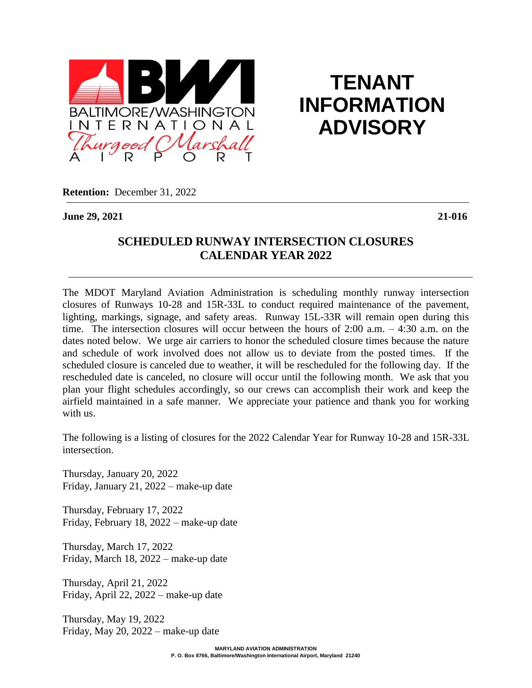

**TENANT INFORMATION ADVISORY**

**Retention:** December 31, 2022

**June 29, 2021 21-016**

## **SCHEDULED RUNWAY INTERSECTION CLOSURES CALENDAR YEAR 2022**

The MDOT Maryland Aviation Administration is scheduling monthly runway intersection closures of Runways 10-28 and 15R-33L to conduct required maintenance of the pavement, lighting, markings, signage, and safety areas. Runway 15L-33R will remain open during this time. The intersection closures will occur between the hours of  $2:00$  a.m.  $-4:30$  a.m. on the dates noted below. We urge air carriers to honor the scheduled closure times because the nature and schedule of work involved does not allow us to deviate from the posted times. If the scheduled closure is canceled due to weather, it will be rescheduled for the following day. If the rescheduled date is canceled, no closure will occur until the following month. We ask that you plan your flight schedules accordingly, so our crews can accomplish their work and keep the airfield maintained in a safe manner. We appreciate your patience and thank you for working with us.

The following is a listing of closures for the 2022 Calendar Year for Runway 10-28 and 15R-33L intersection.

Thursday, January 20, 2022 Friday, January 21, 2022 – make-up date

Thursday, February 17, 2022 Friday, February 18, 2022 – make-up date

Thursday, March 17, 2022 Friday, March 18, 2022 – make-up date

Thursday, April 21, 2022 Friday, April 22, 2022 – make-up date

Thursday, May 19, 2022 Friday, May 20, 2022 – make-up date